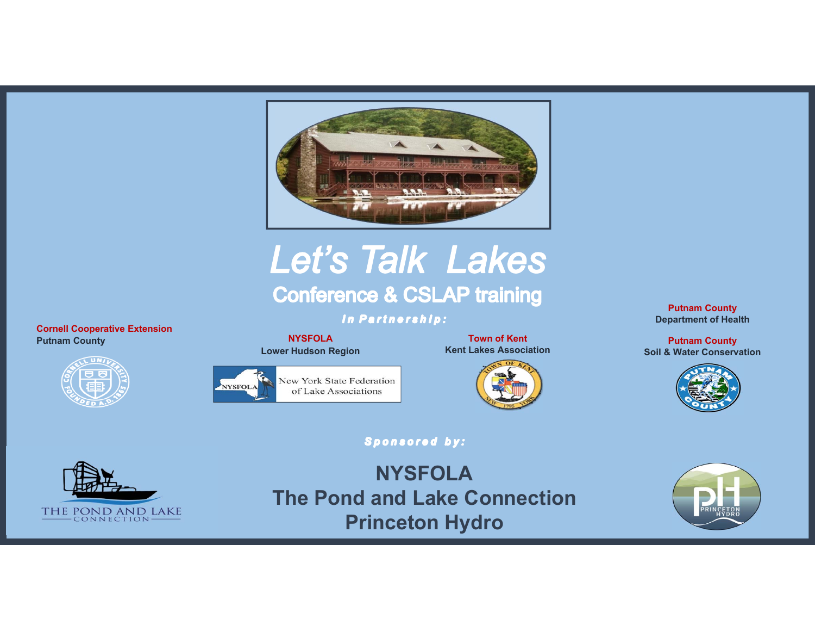

#### Let's Talk Lakes **Conference & CSLAP training**

#### In Partnership:

**Cornell Cooperative Extension Putnam County**



**NYSFOLA Lower Hudson Region**

**NYSFOLA** 

New York State Federation of Lake Associations

**Town of KentKent Lakes Association**



**Putnam County Department of Health**

**Putnam County Soil & Water Conservation**



THE POND AND LAKE CONNECTION

**NYSFOLA The Pond and Lake ConnectionPrinceton Hydro**

Sponsored by:

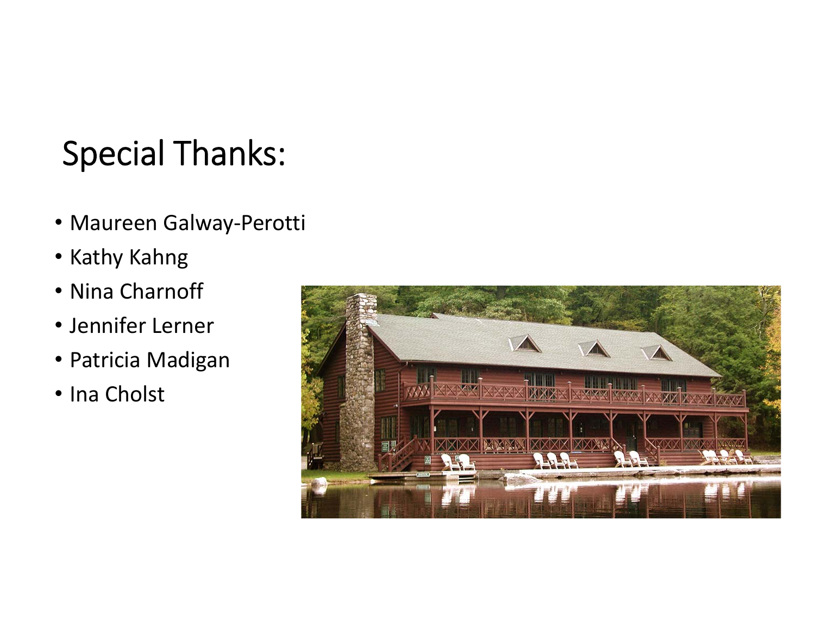# Special Thanks:

- Maureen Galway‐Perotti
- Kathy Kahng
- Nina Charnoff
- Jennifer Lerner
- Patricia Madigan
- Ina Cholst

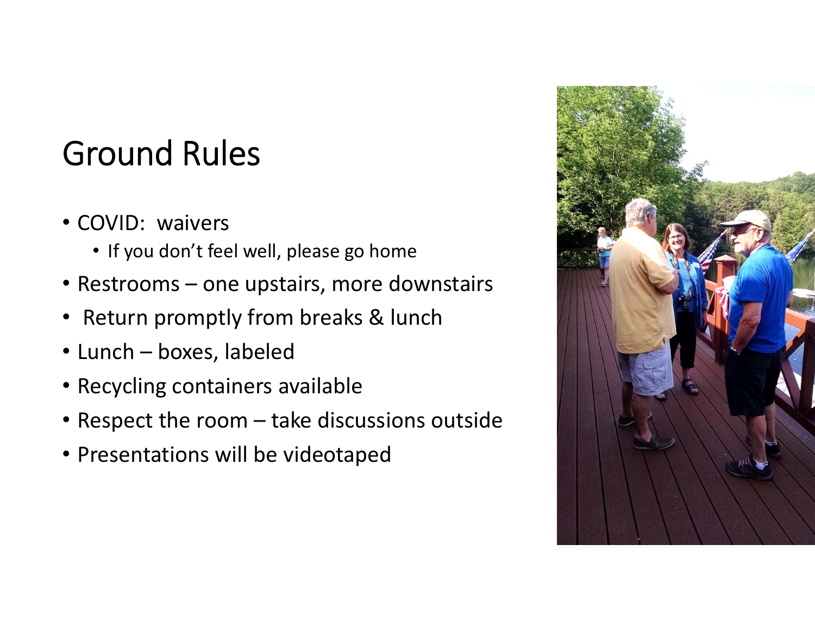## Ground Rules

- COVID: waivers
	- If you don't feel well, please go home
- Restrooms one upstairs, more downstairs
- Return promptly from breaks & lunch
- Lunch boxes, labeled
- Recycling containers available
- Respect the room take discussions outside
- Presentations will be videotaped

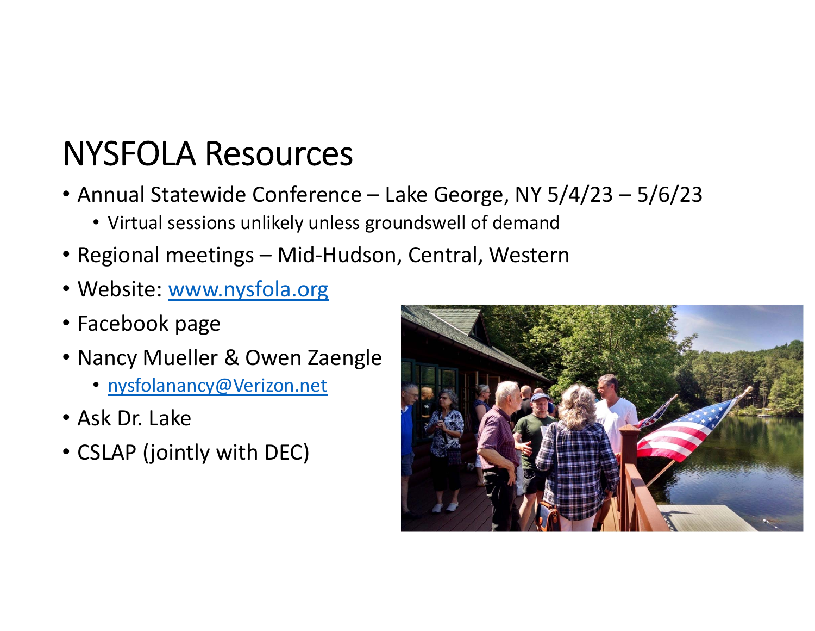## NYSFOLA Resources

- Annual Statewide Conference Lake George, NY 5/4/23 5/6/23
	- Virtual sessions unlikely unless groundswell of demand
- Regional meetings Mid‐Hudson, Central, Western
- Website: www.nysfola.org
- Facebook page
- Nancy Mueller & Owen Zaengle
	- nysfolanancy@Verizon.net
- Ask Dr. Lake
- CSLAP (jointly with DEC)

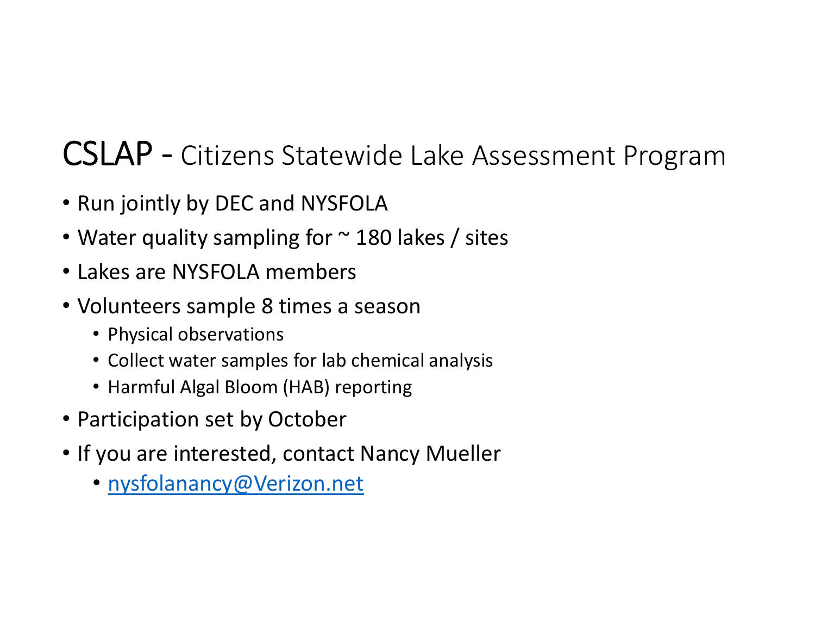#### CSLAP - Citizens Statewide Lake Assessment Program

- Run jointly by DEC and NYSFOLA
- Water quality sampling for ~ 180 lakes / sites
- Lakes are NYSFOLA members
- Volunteers sample 8 times a season
	- Physical observations
	- Collect water samples for lab chemical analysis
	- Harmful Algal Bloom (HAB) reporting
- Participation set by October
- If you are interested, contact Nancy Mueller
	- nysfolanancy@Verizon.net